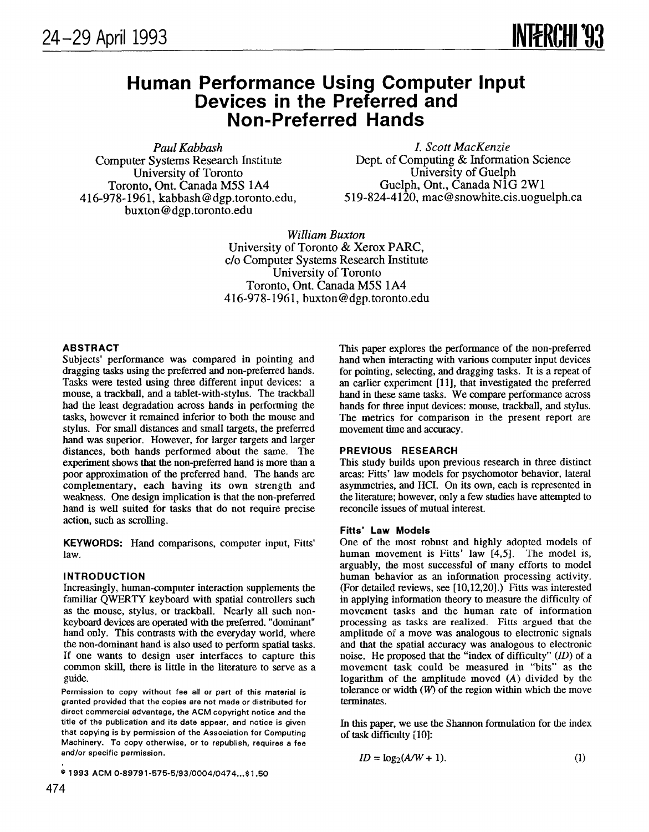# Human Performance Using Computer Inpu Devices in the Preferred and Non-Preferred Hands

Paul Kabbash *I. Scott MacKenzie*<br>Computer Systems Research Institute Dept. of Computing & Informa 416-978-1961, kabbash@dgp.toronto.edu, buxton@dgp.toronto.edu

Dept. of Computing & Information Science<br>University of Guelph University of Toronto<br>
University of Guelph<br>
Cuelph, Ont. Canada N1G 2W1<br>
Cuelph, Ont. Canada N1G 2W1 Toronto, Ont. Canada M5S 1A4 Guelph, Ont., Canada NIG 2W1

> William Buxton University of Toronto& Xerox PARC, c/o Computer Systems Research Institute University of Toronto Toronto, Ont. Canada M5S 1A4 416-978-1961, buxton@dgp.toronto.edu

## ABSTRACT

Subjects' performance was compared in pointing and dragging tasks using the preferred and non-preferred hands. Tasks were tested using three different input devices: a mouse, a trackball, and a tablet-with-stylus. The trackball had the least degradation across hands in performing the tasks, however it remained inferior to both the mouse and stylus. For small distances and small targets, the preferred hand was superior. However, for larger targets and larger distances, both hands performed about the same. The experiment shows that the non-preferred hand is more than a poor approximation of the preferred hand. The hands are complementary, each having its own strength and weakness. One design implication is that the non-preferred hand is well suited for tasks that do not require precise action, such as scrolling.

KEYWORDS: Hand comparisons, computer input, Fitts' law.

## INTRODUCTION

Increasingly, human-computer interaction supplements the familiar QWERTY keyboard with spatial controllers such as the mouse, stylus, or trackball. Nearly all such nonkeyboard devices are operated with the preferred, "dominant" hand only. This contrasts with the everyday world, where the non-dominant hand is also used to perform spatial tasks. If one wants to design user interfaces to capture this common skill, there is little in the literature to serve as a guide.

Permission to copy without fee all or part of this material is granted provided that the copies are not made or distributed for direct commercial advantage, the ACM copyright notice and the title of the publication and its date appear, end notice is given that copying is by permission of the Association for Computing Machinery. To copy otherwise, or to republish, requires a fee and/or specific permission.

<sup>©</sup> 1993 ACM 0-89791-575-5/93/0004/0474...\$1.50

This paper explores the performance of the non-preferred hand when interacting with various computer input devices for pointing, selecting, and dragging tasks. It is a repeat of an earlier experiment [11], that investigated the preferred hand in these same tasks. We compare performance across hands for three input devices: mouse, trackball, and stylus. The metrics for comparison in the present report are movement time and accuracy.

## PREVIOUS RESEARCH

This study builds upon previous research in three distinct areas: Fitts' law models for psychomotor behavior, lateral asymmetries, and HCI. On its own, each is represented in the literature; however, only a few studies have attempted to reconcile issues of mutual interest.

#### Fitts' Law Models

One of the most robust and highly adopted models of human movement is Fitts' law [4,5]. The model is, arguably, the most successful of many efforts to model human behavior as an information processing activity. (For detailed reviews, see [10,12,20].) Fitts was interested in applying information theory to measure the difficulty of movement tasks and the human rate of information processing as tasks are realized. Fitts argued that the amplitude of a move was analogous to electronic signals and that the spatial accuracy was analogous to electronic noise. He proposed that the "index of difficulty" (ID) of a movement task could be measured in "bits" as the logarithm of the amplitude moved  $(A)$  divided by the tolerance or width  $(W)$  of the region within which the move terminates.

In this paper, we use the Shannon formulation for the index of task difficulty [10]:

$$
ID = \log_2(A/W + 1). \tag{1}
$$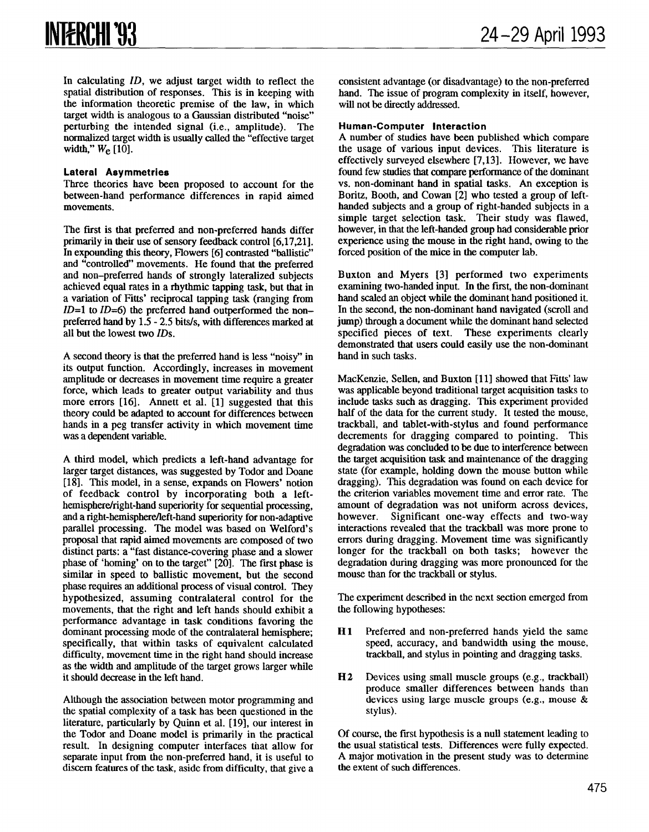In calculating *ID*, we adjust target width to reflect the spatial distribution of responses. This is in keeping with the information theoretic premise of the law, in which target width is analogous to a Gaussian distributed "noise" perturbing the intended signal (i.e., amplitude). The normalized target width is usually called the "effective target width,"  $W_e$  [10].

## Lateral Asymmetries

Three theories have been proposed to account for the between-hand performance differences in rapid aimed movements.

The first is that preferred and non-preferred hands differ primarily in their use of sensory feedback control [6,17,21]. In expounding this theory, Flowers [6] contrasted "ballistic" and "controlled" movements. He found that the preferred and non-preferred hands of strongly lateralized subjects achieved equal rates in a rhythmic tapping task, but that in a variation of Fitts' reciprocal tapping task (ranging from  $ID=1$  to  $ID=6$ ) the preferred hand outperformed the non– preferred hand by 1.5- 2.5 bits/s, with differences marked at all but the lowest two  $IDs$ .

A second theory is that the preferred hand is less "noisy" in its output function. Accordingly, increases in movement amplitude or decreases in movement time require a greater force, which leads to greater output variability and thus more errors  $[16]$ . Annett et al.  $[1]$  suggested that this theory could be adapted to account for differences between hands in a peg transfer activity in which movement time was a dependent variable.

A third model, which predicts a left-hand advantage for larger target distances, was suggested by Todor and Doane [18]. This model, in a sense, expands on Flowers' notion of feedback control by incorporating both a lefthemisphere/right-hand superiority for sequential processing. and a right-hemisphere/left-hand superiority for non-adaptive parallel processing. The model was based on Welford's proposal that rapid aimed movements are composed of two distinct parts: a "fast distance-covering phase and a slower phase of 'homing' on to the target"  $[20]$ . The first phase is similar in speed to ballistic movement, but the second phase requires an additional process of visual control. They hypothesized, assuming contralateral control for the movements, that the right and left hands should exhibit a performance advantage in task conditions favoring the dominant processing mode of the contralateral hemisphere; specifically, that within tasks of equivalent calculated difficulty, movement time in the right hand should increase as the width and amplitude of the target grows larger while it should decrease in the left hand.

Although the association between motor programming and the spatial complexity of a task has been questioned in the literature, particularly by Quinn et al. [19], our interest in the Todor and Deane model is primarily in the practical result. In designing computer interfaces that allow for separate input from the non-preferred hand, it is useful to discem features of the task, aside from difficulty, that give a consistent advantage (or disadvantage) to the non-preferred hand. The issue of program complexity in itself, however, will not be directly addressed.

# Human-Computer Interaction

A number of studies have been published which compare the usage of various input devices. This literature is effectively surveyed elsewhere [7, 13]. However, we have found few studies that compare performance of the dominant vs. non-dominant hand in spatial tasks. An exception is Boritz, Booth, and Cowan [2] who tested a group of lefthanded subjects and a group of right-handed subjects in a simple target selection task. Their study was flawed, however, in that the left-handed group had considerable prior experience using the mouse in the right hand, owing to the forced position of the mice in the computer lab.

Buxton and Myers [3] performed two experiments examining two-handed input. In the first, the non-dominant hand scaled an object while the dominant hand positioned it. In the second, the non-dominant hand navigated (scroll and jump) through a document while the dominant hand selected specified pieces of text. These experiments clearly demonstrated that users could easily use the non-dominant hand in such tasks,

MacKenzie, Sellen, and Buxton [11] showed that Fitts' law was applicable beyond traditional target acquisition tasks to include tasks such as dragging. This experiment provided half of the data for the current study. It tested the mouse, trackball, and tablet-with-stylus and found performance decrements for dragging compared to pointing. This degradation was concluded to be due to interference between the target acquisition task and maintenance of the dragging state (for example, holding down the mouse button while dragging). This degradation was found on each device for the criterion variables movement time and error rate. The amount of degradation was not uniform across devices, however. Significant one-way effects and two-way interactions revealed that the trackball was more prone to errors during dragging. Movement time was significantly longer for the trackball on both tasks; however the degradation during dragging was more pronounced for the mouse than for the trackball or stylus.

The experiment described in the next section emerged from the following hypotheses:

- H<sub>1</sub> Preferred and non-preferred hands yield the same speed, accuracy, and bandwidth using the mouse, trackball, and stylus in pointing and dragging tasks.
- H2 Devices using small muscle groups (e.g., trackball) produce smaller differences between hands than devices using large muscle groups (e.g., mouse & stylus).

Of course, the first hypothesis is a null statement leading to the usual statistical tests. Differences were fully expected. A major motivation in the present study was to determine the extent of such differences.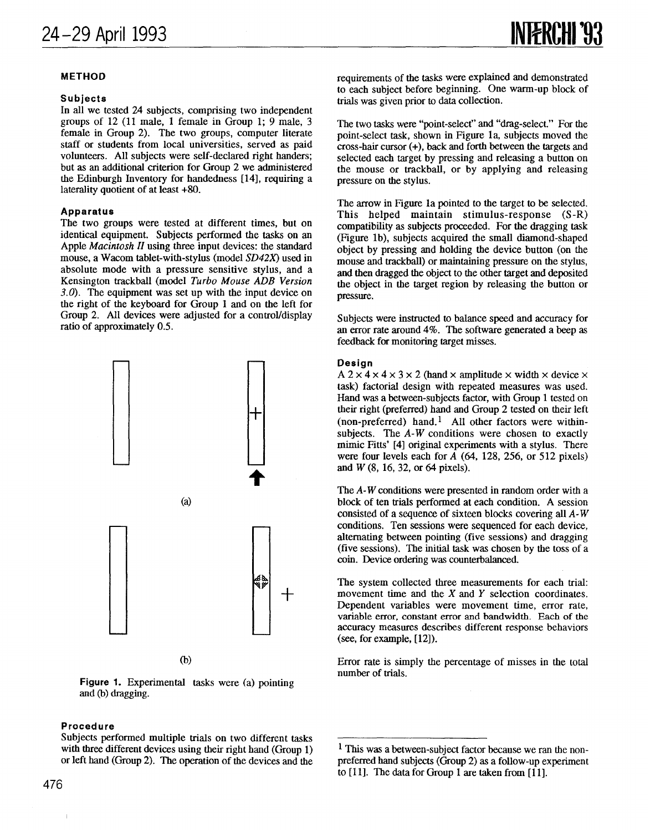# METHOD

#### Subjects

In all we tested 24 subjects, comprising two independent groups of 12 (11 male, 1 female in Group 1; 9 male, 3 female in Group 2). The two groups, computer literate staff or students from local universities, served as paid volunteers. All subjects were self-declared right banders; but as an additional criterion for Group 2 we administered the Edinburgh Inventory for handedness [14], requiring a laterality quotient of at least  $+80$ .

#### Apparatus

The two groups were tested at different times, but on identical equipment. Subjects performed the tasks on an Apple *Macintosh II* using three input devices: the standard mouse, a Wacom tablet-with-stylus (model SD42X) used in absolute mode with a pressure sensitive stylus, and a Kensington trackball (model Turbo Mouse ADB Version  $3.0$ . The equipment was set up with the input device on the right of the keyboard for Group 1 and on the left for Group 2. All devices were adjusted for a control/display ratio of approximately 0.5.



 $(b)$ 

Figure 1. Experimental tasks were (a) pointing and (b) dragging.

### Procedure

 $\mathbf{I}$ 

requirements of the tasks were explained and demonstrated to each subject before beginning. One warm-up block of trials was given prior to data collection.

The two tasks were "point-select" and "drag-select." For the point-select task, shown in Figure 1a, subjects moved the cross-hair cursor (+), back and forth between the targets and selected each target by pressing and releasing a button on the mouse or trackball, or by applying and releasing pressure on the stylus.

The arrow in Figure 1a pointed to the target to be selected. This helped maintain stimulus-response (S-R) compatibility as subjects proceeded. For the dragging task (Figure lb), subjeets acquired the small diamond-shaped object by pressing and holding the device button (on the mouse and trackball) or maintaining pressure on the stylus, and then dragged the object to the other target and deposited the object in the target region by releasing the button or pressure.

Subjects were instructed to balance speed and accuracy for an error rate around  $4\%$ . The software generated a beep as feedback for monitoring target misses.

#### Design

A  $2 \times 4 \times 4 \times 3 \times 2$  (hand  $\times$  amplitude  $\times$  width  $\times$  device  $\times$ task) factorial design with repeated measures was used. Hand was a between-subjects factor, with Group 1 tested on their right (preferred) hand and Group 2 tested on their left (non-preferred) hand.<sup>1</sup> All other factors were withinsubjects. The A-W conditions were chosen to exactly mimic Fitts' [4] original experiments with a stylus. There were four levels each for  $\overline{A}$  (64, 128, 256, or 512 pixels) and W (8, 16, 32, or 64 pixels).

The A-W conditions were presented in random order with a block of ten trials performed at each condition. A session consisted of a sequence of sixteen blocks covering all  $A-W$ conditions. Ten sessions were sequeneed for each device, alternating between pointing (five sessions) and dragging (five sessions). The initial task was chosen by the toss of a coin. Device ordering was counterbalanced.

The system collected three measurements for each trial: movement time and the  $X$  and  $Y$  selection coordinates. Dependent variables were movement time, error rate, variable error, constant error and bandwidth. Each of the accuracy measures describes different response behaviors (see, for example, [12]).

Error rate is simply the percentage of misses in the total number of trials.

Subjects performed multiple trials on two different tasks with three different devices using their right hand (Group 1) or left hand (Group 2). The operation of the devices and the

<sup>1</sup> This was a between-subject factor because we ran the nonpreferred hand subjects (Group 2) as a follow-up experiment to [11]. The data for Group 1 are taken from [11].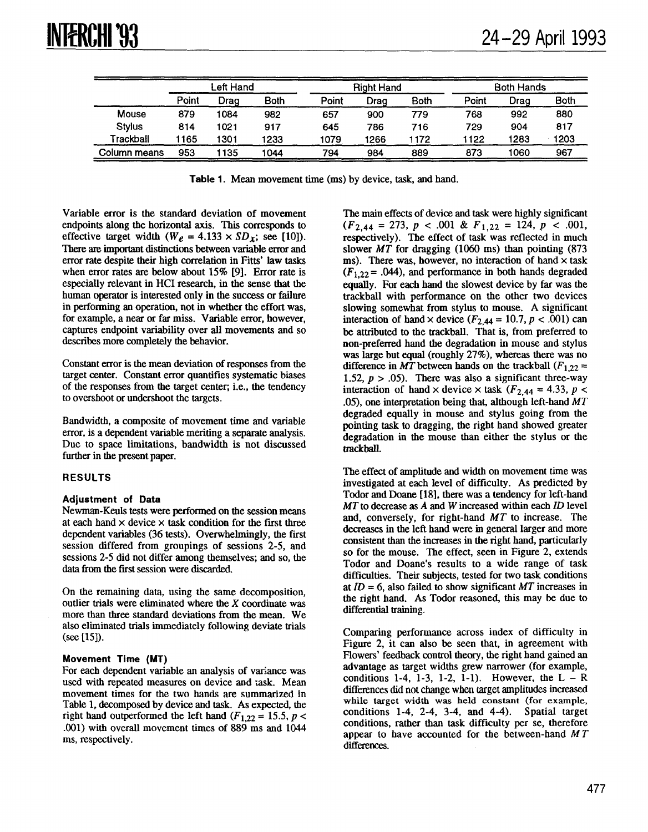|              | Left Hand |      |             | <b>Right Hand</b> |      |      | <b>Both Hands</b> |      |      |
|--------------|-----------|------|-------------|-------------------|------|------|-------------------|------|------|
|              | Point     | Drag | <b>Both</b> | Point             | Drag | Both | Point             | Draq | Both |
| Mouse        | 879       | 1084 | 982         | 657               | 900  | 779  | 768               | 992  | 880  |
| Stylus       | 814       | 1021 | 917         | 645               | 786  | 716  | 729               | 904  | 817  |
| Trackball    | 1165      | 1301 | 1233        | 1079              | 1266 | 172  | 1122              | 1283 | 1203 |
| Column means | 953       | 1135 | 1044        | 794               | 984  | 889  | 873               | 1060 | 967  |

Table 1. Mean movement time (ms) by device, task, and hand.

Variable error is the standard deviation of movement endpoints along the horizontal axis. This corresponds to effective target width (W<sub>e</sub> = 4.133 × SD<sub>x</sub>; see [10]). There ate important distinctions between variable error and error rate despite their high correlation in Fitts' law tasks when error rates are below about 15% [9]. Error rate is especially relevant in HCI research, in the sense that the human operator is interested only in the success or failure in performing an operation, not in whether the effort was, for example, a near or far miss. Variable error, however, captures endpoint variability over all movements and so describes more completely the behavior.

Constant error is the mean deviation of responses from the target center, Constant error quantifies systematic biases of the responses from the target center; i.e., the tendency to overshoot or undershoot the targets.

Bandwidth, a composite of movement time and variable error, is a dependent variable meriting a separate analysis. Due to space limitations, bandwidth is not discussed further in the present paper.

# RESULTS

# Adjustment of Data

Newman-Keuls tests were performed on the session means at each hand  $\times$  device  $\times$  task condition for the first three dependent variables (36 tests). Overwhelmingly, the first session differed from groupings of sessions 2-5, and sessions 2-5 did not differ among themselves; and so, the data from the first session were discarded.

On the remaining data, using the same decomposition, outlier trials were eliminated where the X coordinate was more than three standard deviations from the mean. We also eliminated trials immediately following deviate trials (see [15]).

# Movement Time (MT)

For each dependent variable an analysis of variance was used with repeated measures on device and 'ask, Mean movement times for the two hands are summarized in Table 1, decomposed by device and task. As expected, the right hand outperformed the left hand ( $F_{1,22} = 15.5$ ,  $p <$ .001) with overall movement times of 889 ms and 1044 ms, respectively.

The main effects of device and task were highly significant  $(F_{2,44} = 273, p < .001 \& F_{1,22} = 124, p < .001,$ respectively). The effect of task was reflected in much slower  $MT$  for dragging (1060 ms) than pointing (873 ms). There was, however, no interaction of hand  $\times$  task  $(F_{1,22} = .044)$ , and performance in both hands degraded equally. For each hand the slowest device by far was the trackball with performance on the other two devices slowing somewhat from stylus to mouse. A significant interaction of hand x device  $(F_{2,44} = 10.7, p < .001)$  can be attributed to the trackball. That is, from preferred to non-preferred hand the degradation in mouse and stylus was large but equal (roughly 27%), whereas there was no difference in MT between hands on the trackball  $(F_{1,22} =$ 1.52,  $p > .05$ ). There was also a significant three-way interaction of hand  $\times$  device  $\times$  task ( $F_{2,44} = 4.33$ ,  $p <$ .05), one interpretation being that, although left-hand  $MT$ degraded equally in mouse and stylus going from the pointing task to dragging, the right hand showed greater degradation in the mouse than either the stylus or the trackbdl.

The effect of amplitude and width on movement time was investigated at each level of difficulty. As predicted by Todor and Deane [18], there was a tendency for left-hand  $MT$  to decrease as  $A$  and  $W$  increased within each  $ID$  level and, conversely, for right-hand MT to increase. The decreases in the left hand were in general larger and more consistent than the increases in the right hand, particularly so for the mouse. The effect, seen in Figure 2, extends Todor and Doane's results to a wide range of task difficulties. Their subjects, tested for two task conditions at  $ID = 6$ , also failed to show significant MT increases in the right hand. As Todor reasoned, this may be due to differential training.

Comparing performance across index of difficulty in Figure 2, it can also be seen that, in agreement with Flowers' feedback control theory, the right hand gained an advantage as target widths grew narrower (for example, conditions 1-4, 1-3, 1-2, 1-1). However, the  $L - R$ differences did not change when target amplitudes increased while target width was held constant (for example, conditions 1-4, 2-4, 3-4, and 4-4). Spatial target conditions, rather than task difficulty per se, therefore appear to have accounted for the between-hand  $MT$ differences.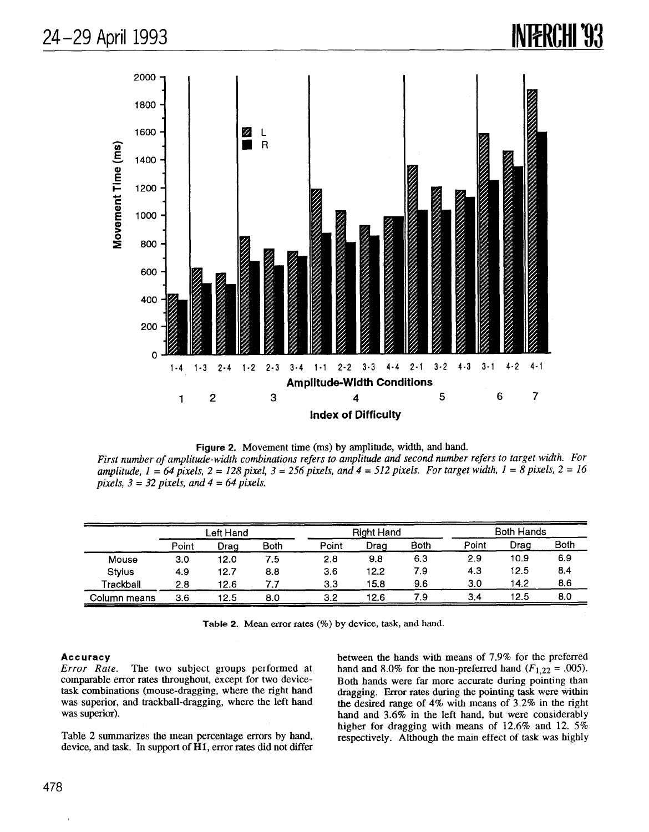



First number of amplitude-width combinations refers to amplitude and second number refers to target width. For amplitude,  $1 = 64$  pixels,  $2 = 128$  pixel,  $3 = 256$  pixels, and  $4 = 512$  pixels. For target width,  $1 = 8$  pixels,  $2 = 16$ pixels,  $3 = 32$  pixels, and  $4 = 64$  pixels.

|              | Left Hand |      |             | <b>Right Hand</b> |      |      | <b>Both Hands</b> |      |             |
|--------------|-----------|------|-------------|-------------------|------|------|-------------------|------|-------------|
|              | Point     | Drag | <b>Both</b> | Point             | Drag | Both | Point             | Drag | <b>Both</b> |
| Mouse        | 3.0       | 12.0 | 7.5         | 2.8               | 9.8  | 6.3  | 2.9               | 10.9 | 6.9         |
| Stylus       | 4.9       | 12.7 | 8.8         | 3.6               | 12.2 | 7.9  | 4.3               | 12.5 | 8.4         |
| Trackball    | 2.8       | 12.6 | 7.7         | 3.3               | 15.8 | 9.6  | 3.0               | 14.2 | 8.6         |
| Column means | 3.6       | 12.5 | 8.0         | 3.2               | 12.6 | 7.9  | 3.4               | 12.5 | 8.0         |

Table 2. Mean error rates  $(\%)$  by device, task, and hand.

#### Accuracy

Error Rate. The two subject groups performed at comparable emor rates throughout, except for two devicetask combinations (mouse-dragging, where the right hand was superior, and trackball-dragging, where the left hand was superior).

Table 2 summarizes the mean percentage errors by hand, device, and task. In support of HI, error rates did not differ between the hands with means of 7.9% for the prefemed hand and 8.0% for the non-preferred hand  $(F_{1,22} = .005)$ . Both hands were far more accurate during pointing than dragging. Error rates during the pointing task were within the desired range of 4% with means of 3.2% in the right hand and 3.6% in the left hand, but were considerably higher for dragging with means of  $12.6\%$  and  $12.5\%$ respectively. Although the main effect of task was highly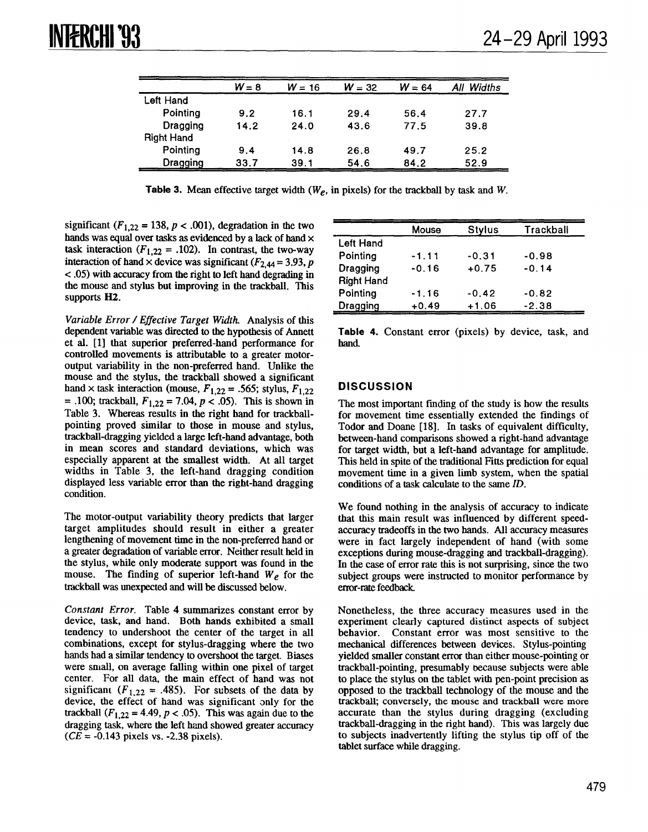|                   | $W = 8$ | $W = 16$ | $W = 32$ | $W = 64$ | All Widths |
|-------------------|---------|----------|----------|----------|------------|
| Left Hand         |         |          |          |          |            |
| Pointing          | 9.2     | 16.1     | 29.4     | 56.4     | 27.7       |
| Dragging          | 14.2    | 24.0     | 43.6     | 77.5     | 39.8       |
| <b>Right Hand</b> |         |          |          |          |            |
| Pointing          | 9.4     | 14.8     | 26.8     | 49.7     | 25.2       |
| Dragging          | 33.7    | 39.1     | 54.6     | 84.2     | 52.9       |

Table 3. Mean effective target width ( $W_e$ , in pixels) for the trackball by task and W.

significant ( $F_{1,22} = 138$ ,  $p < .001$ ), degradation in the two hands was equal over tasks as evidenced by a lack of hand  $\times$ task interaction ( $F_{1,22} = .102$ ). In contrast, the two-way interaction of hand x device was significant ( $F_{2,44} = 3.93$ , p  $\langle$  .05) with accuracy from the right to left hand degrading in the mouse and stylus but improving in the trackball. This supports H<sub>2</sub>.

Variable Error /Effective Target Width. Analysis of this dependent variable was directed to the hypothesis of Armett et al. [1] that superior preferred-hand performance for controlled movements is attributable to a greater motoroutput variability in the non-preferred hand. Unlike the mouse and the stylus, the trackball showed a significant hand x task interaction (mouse,  $F_{1,22} = .565$ ; stylus,  $F_{1,22}$ = .100; trackball,  $F_{1,22} = 7.04$ ,  $p < .05$ ). This is shown in Table 3. Whereas results in the right hand for trackballpointing proved similar to those in mouse and stylus, trackbatl-dragging yielded a large left-hand advantage, both in mean scores and standard deviations, which was especially apparent at the smallest width. At all target widths in Table 3, the left-hand dragging condition displayed less variable error than the right-hand dragging condition.

The motor-output variability theory predicts that larger target amplitudes should result in either a greater lengthening of movement time in the non-preferred hand or a greater degradation of variable error. Neither result held in the stylus, while only moderate support was found in the mouse. The finding of superior left-hand  $W_e$  for the trackball was unexpected and will be discussed below.

Constant Error. Table 4 summarizes constant error by device, task, and hand. Both hands exhibited a small tendency to undershoot the center of the target in all combinations, except for stylus-dragging where the two hands had a similar tendency to overshoot the target. Biases were small, on average falling within one pixel of target center. For all data, the main effect of hand was not significant ( $F_{1,22}$  = .485). For subsets of the data by device, the effect of hand was significant only for the trackball  $(F_{1,22} = 4.49, p < .05)$ . This was again due to the dragging task, where the left hand showed greater accuracy  $(CE = -0.143$  pixels vs.  $-2.38$  pixels).

|                   | Mouse   | <b>Stylus</b> | Trackball |
|-------------------|---------|---------------|-----------|
| Left Hand         |         |               |           |
| Pointing          | $-1.11$ | $-0.31$       | $-0.98$   |
| Dragging          | $-0.16$ | $+0.75$       | $-0.14$   |
| <b>Right Hand</b> |         |               |           |
| Pointing          | $-1.16$ | $-0.42$       | $-0.82$   |
| Dragging          | $+0.49$ | $+1.06$       | $-2.38$   |

Table 4. Constant error (pixels) by device, task, and hand

# **DISCUSSION**

The most important finding of the study is how the results for movement time essentially extended the findings of Todor and Doane [18]. In tasks of equivalent difficulty, between-hand comparisons showed a right-hand advantage for target width, but a left-hand advantage for amplitude. This held in spite of the traditional Fitts prediction for equal movement time in a given limb system, when the spatial conditions of a task calculate to the same ID.

We found nothing in the analysis of accuracy to indicate that this main result was influenced by different speedaccuracy tradeoffs in the two hands. All accuracy measures were in fact largely independent of hand (with some exceptions during mouse-dragging and trackball-dragging). In the case of error rate this is not surprising, since the two subject groups were instructed to monitor performance by error-rate feedback.

Nonetheless, the three accuracy measures used in the experiment clearly captured distinct aspects of subject behavior. Constant error was most sensitive to the mechanical differences between devices. Stylus-pointing yielded smaller constant error than either mouse-pointing or trackball-pointing, presumably because subjects were able to place the stylus on the tablet with pen-point precision as opposed to the trackball technology of the mouse and the trackball; conversely, the mouse and trackball were more accurate than the stylus during dragging (excluding trackbatl-dragging in the right hand). This was largely due to subjects inadvertently lifting the stylus tip off of the tablet surface while dragging.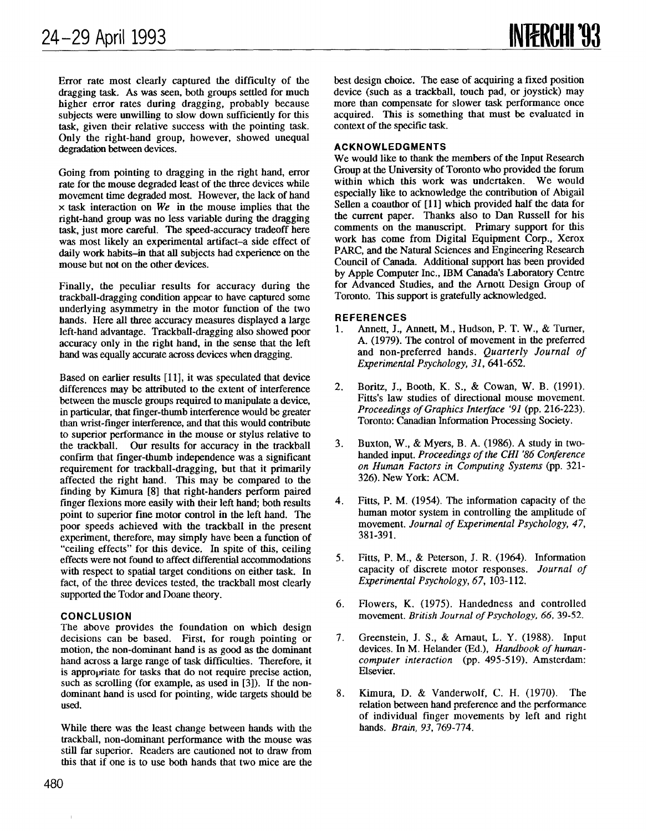Error rate most clearly captured the difficulty of the dragging task. As was seen, both groups settled for much higher error rates during dragging, probably because subjects were unwilling to slow down sufficiently for this task, given their relative success with the pointing task. Only the right-hand group, however, showed unequal degradation between devices.

Going from pointing to dragging in the right hand, error rate for the mouse degraded least of the three devices while movement time degraded most. However, the lack of hand  $\times$  task interaction on We in the mouse implies that the right-hand group was no less variable during the dragging task, just more careful. The speed-accuracy tradeoff here was most likely an experimental artifact-a side effect of daily work habits-in that all subjects had experience on the mouse but not on the other devices.

Finally, the peculiar results for accuracy during the trackball-dragging condition appear to have captured some underlying asymmetry in the motor function of the two hands. Here all three accuracy measures displayed a large left-hand advantage. Trackball-dragging also showed poor accuracy only in the right hand, in the sense that the left hand was equally accurate across devices when dragging.

Based on earlier results [11], it was speculated that device differences may be attributed to the extent of interference between the muscle groups required to manipulate a device, in particular, that finger-thumb interference would be greater than wrist-finger interference, and that this would contribute to superior performance in the mouse or stylus relative to the trackball. Our results for accuracy in the trackball confirm that finger-thumb independence was a significant requirement for trackball-dragging, but that it primarily affected the right hand. This may be compared to the finding by Kimura [8] that right-banders perform paired finger flexions more easily with their left hand; both results point to superior fine motor control in the left hand. The poor speeds achieved with the trackball in the present experiment, therefore, may simply have been a function of "ceiling effects" for this device. In spite of this, ceiling effects were not found to affect diffenmial accommodations with respect to spatial target conditions on either task. In fact, of the three devices tested, the trackball most clearly supported the Todor and Doane theory.

#### **CONCLUSION**

The above provides the foundation on which design decisions can be based. First, for rough pointing or motion, the non-dominant hand is as good as the dominant hand across a large range of task difficulties. Therefore, it is appropriate for tasks that do not require precise action, such as scrolling (for example, as used in [3]). If the nondominant hand is used for pointing, wide targets should be used.

While there was the least change between hands with the trackball, non-dominant performance with the mouse was still far superior. Readers are cautioned not to draw from this that if one is to use both hands that two mice are the best design choice. The ease of acquiring a fixed position device (such as a trackball, touch pad, or joystick) may more than compensate for slower task performance once acquired. This is something that must be evaluated in context of the specific task.

## ACKNOWLEDGMENTS

We would like to thank the members of the Input Research Group at the University of Toronto who provided the forum within which this work was undertaken. We would especially like to acknowledge the contribution of Abigail Sellen a coauthor of [11] which provided half the data for the current paper. Thanks also to Dan Russell for his comments on the manuscript. Primary support for this work has come from Digital Equipment Corp., Xerox PARC, and the Natural Sciences and Engineering Research Council of Canada. Additional support has been provided by Apple Computer Inc., IBM Canada's Laboratory Centre for Advanced Studies, and the Arnott Design Group of Toronto. This support is gratefully acknowledged.

#### REFERENCES

- 1. Annett, J., Annett, M., Hudson, P. T. W., & Turner, A. (1979). The control of movement in the preferred and non-preferred hands. Quarterly Journal of Experimental Psychology, 31, 641-652.
- 2. Boritz, J., Booth, K. S., & Cowan, W. B. (1991). Fitts's law studies of directional mouse movement. Proceedings of Graphics Interface '91 (pp. 216-223). Toronto: Canadian Information Processing Society.
- 3. Buxton, W., & Myers, B. A. (1986). A study in twohanded input. Proceedings of the CHI '86 Conference on Human Factors in Computing Systems (pp. 321- 326). New York: ACM.
- 4. Fitts, P. M. (1954). The information capacity of the human motor system in controlling the amplitude of movement. Journal of Experimental Psychology, 47, 381-391.
- 5. Fitts, P. M., & Peterson, J. R. (1964). Information capacity of discrete motor responses. Journal of Experimental Psychology, 67, 103-112.
- 6. Flowers, K. (1975). Handedness and controlled movement. British Journal of Psychology, 66, 39-52.
- 7. Greenstein, J. S., & Amaut, L. Y. (1988). Input devices. In M. Helander (Ed.), Handbook of humancomputer interaction (pp. 495-519). Amsterdam: Elsevier.
- 8. Kimura, D. & Vanderwolf, C. H. (1970). The relation between hand preference and the performance of individual finger movements by left and right hands. Brain, 93, 769-774.